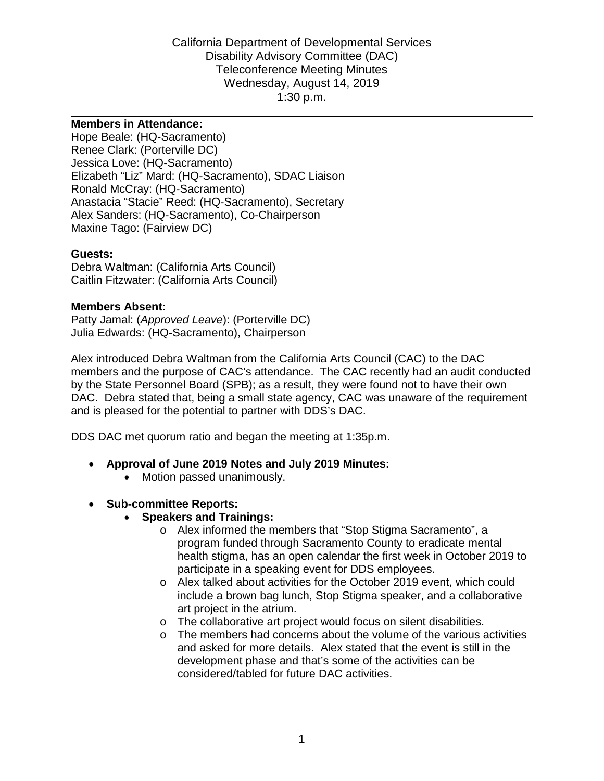Disability Advisory Committee (DAC) Wednesday, August 14, 2019 1:30 p.m. 1:30 p.m. California Department of Developmental Services Teleconference Meeting Minutes

#### **Members in Attendance:**

Hope Beale: (HQ-Sacramento) Renee Clark: (Porterville DC) Jessica Love: (HQ-Sacramento) Elizabeth "Liz" Mard: (HQ-Sacramento), SDAC Liaison Ronald McCray: (HQ-Sacramento) Anastacia "Stacie" Reed: (HQ-Sacramento), Secretary Alex Sanders: (HQ-Sacramento), Co-Chairperson Maxine Tago: (Fairview DC)

#### **Guests:**

Debra Waltman: (California Arts Council) Caitlin Fitzwater: (California Arts Council)

#### **Members Absent:**

Patty Jamal: (*Approved Leave*): (Porterville DC) Julia Edwards: (HQ-Sacramento), Chairperson

 members and the purpose of CAC's attendance. The CAC recently had an audit conducted by the State Personnel Board (SPB); as a result, they were found not to have their own DAC. Debra stated that, being a small state agency, CAC was unaware of the requirement Alex introduced Debra Waltman from the California Arts Council (CAC) to the DAC and is pleased for the potential to partner with DDS's DAC.

DDS DAC met quorum ratio and began the meeting at 1:35p.m.

- **Approval of June 2019 Notes and July 2019 Minutes:** 
	- Motion passed unanimously.
- **Sub-committee Reports:** 
	- **Speakers and Trainings:** 
		- o Alex informed the members that "Stop Stigma Sacramento", a program funded through Sacramento County to eradicate mental health stigma, has an open calendar the first week in October 2019 to participate in a speaking event for DDS employees.
		- include a brown bag lunch, Stop Stigma speaker, and a collaborative o Alex talked about activities for the October 2019 event, which could art project in the atrium.
		- o The collaborative art project would focus on silent disabilities.
		- o The members had concerns about the volume of the various activities and asked for more details. Alex stated that the event is still in the development phase and that's some of the activities can be considered/tabled for future DAC activities.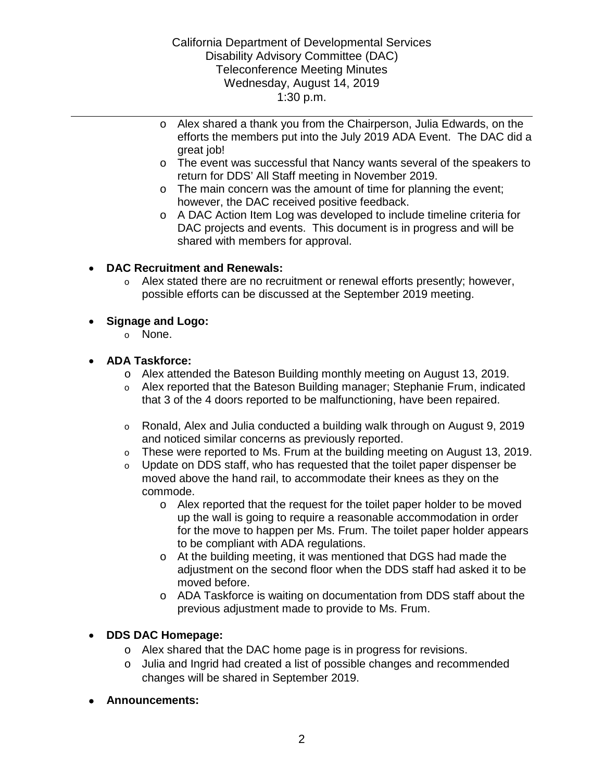## Disability Advisory Committee (DAC) Wednesday, August 14, 2019 1:30 p.m.  $1:30 p.m.$ California Department of Developmental Services Teleconference Meeting Minutes

- o Alex shared a thank you from the Chairperson, Julia Edwards, on the great job! efforts the members put into the July 2019 ADA Event. The DAC did a
- o The event was successful that Nancy wants several of the speakers to return for DDS' All Staff meeting in November 2019.
- o The main concern was the amount of time for planning the event; however, the DAC received positive feedback.
- DAC projects and events. This document is in progress and will be o A DAC Action Item Log was developed to include timeline criteria for shared with members for approval.

# • **DAC Recruitment and Renewals:**

 $\circ$  Alex stated there are no recruitment or renewal efforts presently; however, possible efforts can be discussed at the September 2019 meeting.

## • **Signage and Logo:**

o None.

## • **ADA Taskforce:**

- o Alex attended the Bateson Building monthly meeting on August 13, 2019.
- o Alex reported that the Bateson Building manager; Stephanie Frum, indicated that 3 of the 4 doors reported to be malfunctioning, have been repaired.
- o Ronald, Alex and Julia conducted a building walk through on August 9, 2019 and noticed similar concerns as previously reported.
- o These were reported to Ms. Frum at the building meeting on August 13, 2019.
- $\circ$  Update on DDS staff, who has requested that the toilet paper dispenser be moved above the hand rail, to accommodate their knees as they on the commode.
	- o Alex reported that the request for the toilet paper holder to be moved up the wall is going to require a reasonable accommodation in order for the move to happen per Ms. Frum. The toilet paper holder appears to be compliant with ADA regulations.
	- o At the building meeting, it was mentioned that DGS had made the adjustment on the second floor when the DDS staff had asked it to be moved before.
	- o ADA Taskforce is waiting on documentation from DDS staff about the previous adjustment made to provide to Ms. Frum.

## • **DDS DAC Homepage:**

- o Alex shared that the DAC home page is in progress for revisions.
- changes will be shared in September 2019. o Julia and Ingrid had created a list of possible changes and recommended
- **Announcements:**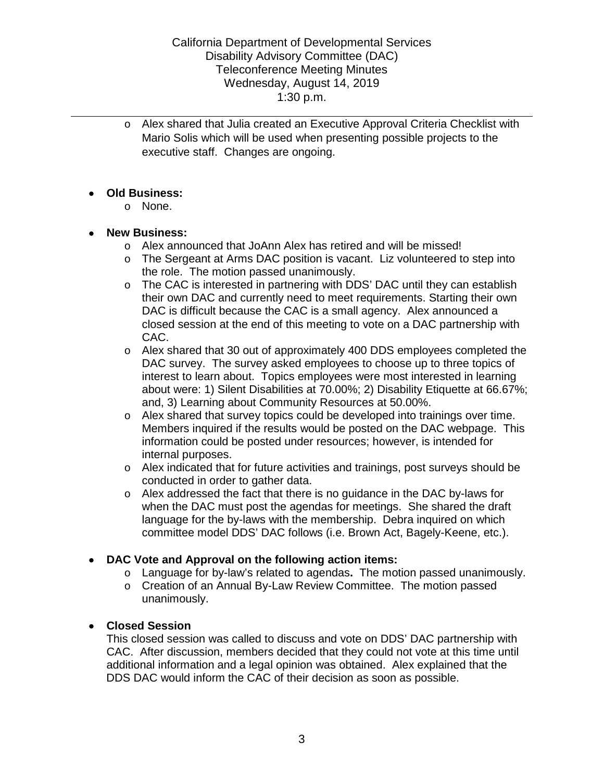o Alex shared that Julia created an Executive Approval Criteria Checklist with Mario Solis which will be used when presenting possible projects to the executive staff. Changes are ongoing.

## • **Old Business:**

o None.

## • **New Business:**

- o Alex announced that JoAnn Alex has retired and will be missed!
- o The Sergeant at Arms DAC position is vacant. Liz volunteered to step into the role. The motion passed unanimously.
- their own DAC and currently need to meet requirements. Starting their own DAC is difficult because the CAC is a small agency. Alex announced a closed session at the end of this meeting to vote on a DAC partnership with o The CAC is interested in partnering with DDS' DAC until they can establish CAC.
- DAC survey. The survey asked employees to choose up to three topics of interest to learn about. Topics employees were most interested in learning about were: 1) Silent Disabilities at 70.00%; 2) Disability Etiquette at 66.67%; and, 3) Learning about Community Resources at 50.00%. o Alex shared that 30 out of approximately 400 DDS employees completed the
- $\circ$  Alex shared that survey topics could be developed into trainings over time. Members inquired if the results would be posted on the DAC webpage. This information could be posted under resources; however, is intended for internal purposes.
- o Alex indicated that for future activities and trainings, post surveys should be conducted in order to gather data.
- language for the by-laws with the membership. Debra inquired on which o Alex addressed the fact that there is no guidance in the DAC by-laws for when the DAC must post the agendas for meetings. She shared the draft committee model DDS' DAC follows (i.e. Brown Act, Bagely-Keene, etc.).

# • **DAC Vote and Approval on the following action items:**

- o Language for by-law's related to agendas**.** The motion passed unanimously.
- o Creation of an Annual By-Law Review Committee. The motion passed unanimously.

# • **Closed Session**

This closed session was called to discuss and vote on DDS' DAC partnership with CAC. After discussion, members decided that they could not vote at this time until additional information and a legal opinion was obtained. Alex explained that the DDS DAC would inform the CAC of their decision as soon as possible.